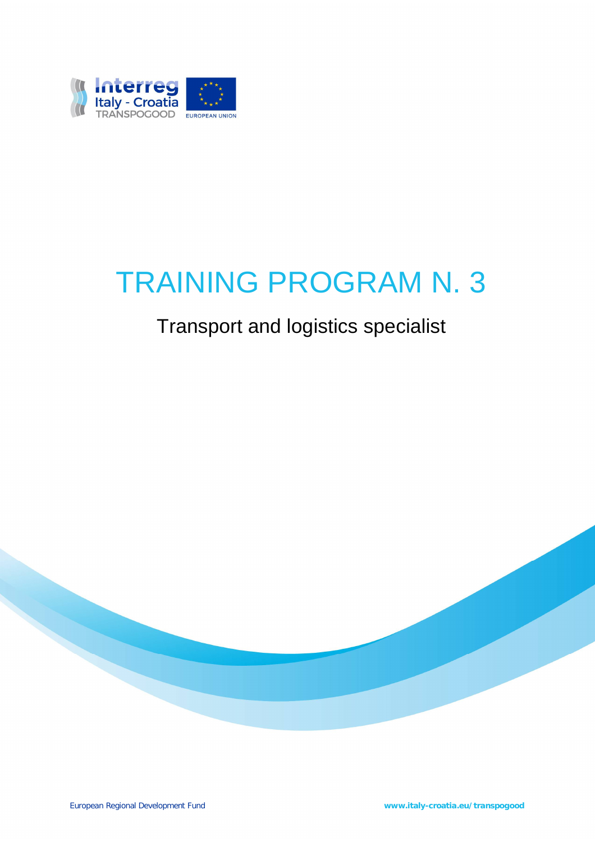

# TRAINING PROGRAM N. 3

# Transport and logistics specialist

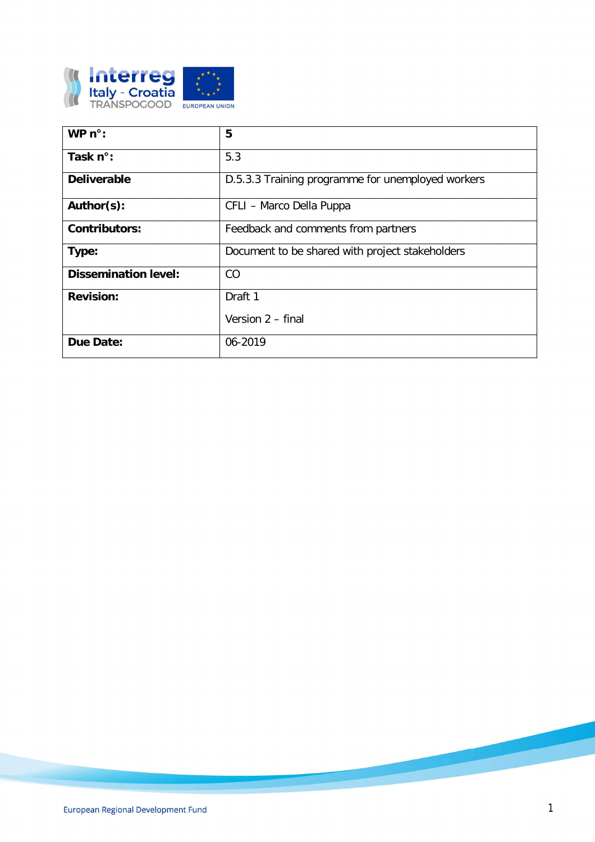

| WP $n^{\circ}$ :            | 5                                                 |
|-----------------------------|---------------------------------------------------|
| Task n°:                    | 5.3                                               |
| <b>Deliverable</b>          | D.5.3.3 Training programme for unemployed workers |
| Author(s):                  | CFLI - Marco Della Puppa                          |
| <b>Contributors:</b>        | Feedback and comments from partners               |
| Type:                       | Document to be shared with project stakeholders   |
| <b>Dissemination level:</b> | CO                                                |
| <b>Revision:</b>            | Draft 1                                           |
|                             | Version 2 - final                                 |
| Due Date:                   | 06-2019                                           |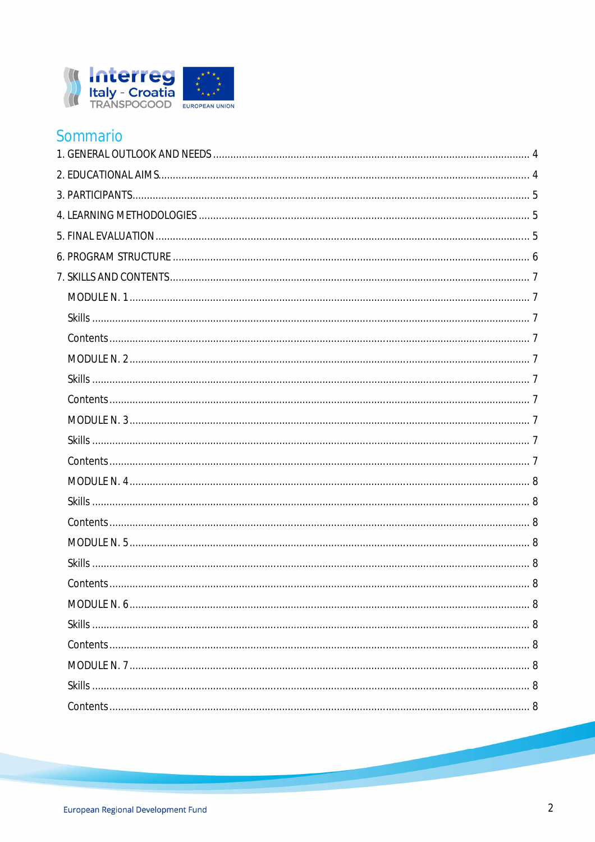

# Sommario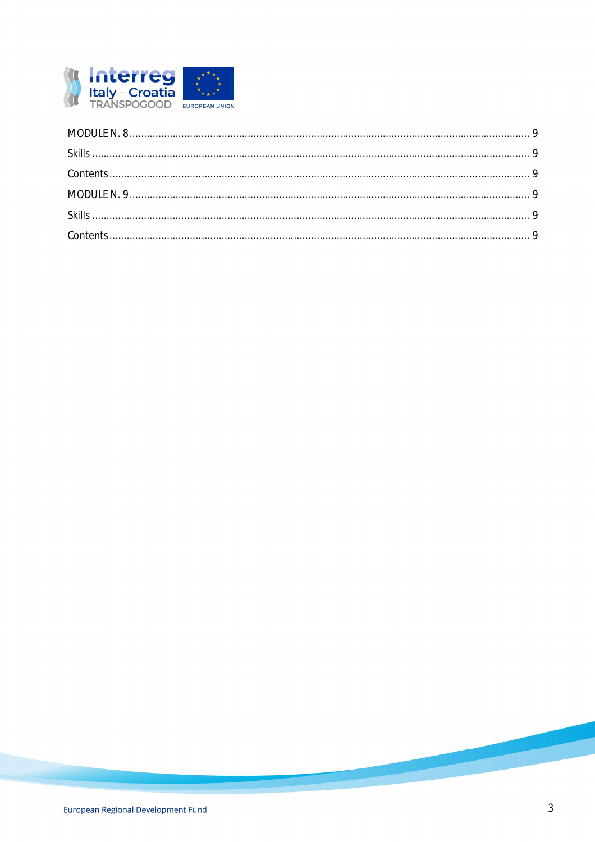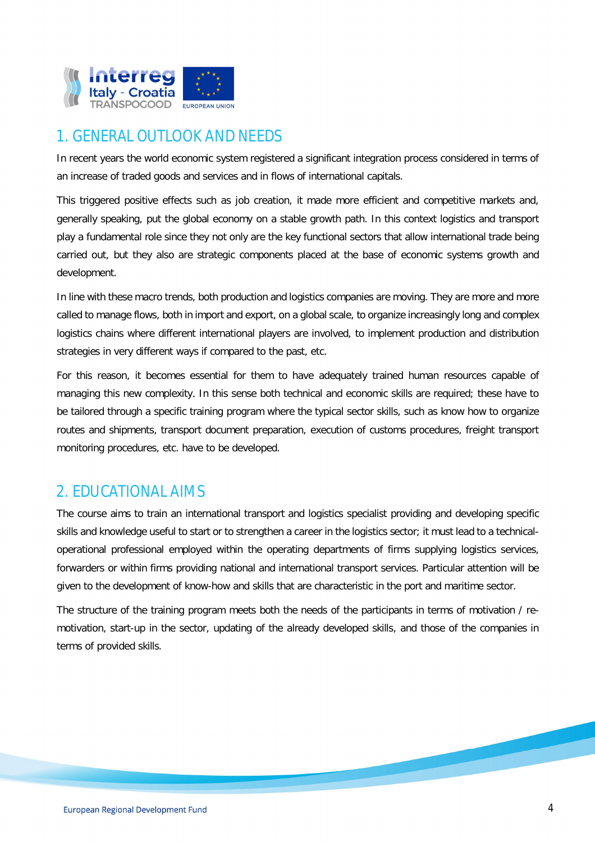

# 1. GENERAL OUTLOOK AND NEEDS

In recent years the world economic system registered a significant integration process considered in terms of an increase of traded goods and services and in flows of international capitals.

This triggered positive effects such as job creation, it made more efficient and competitive markets and, generally speaking, put the global economy on a stable growth path. In this context logistics and transport play a fundamental role since they not only are the key functional sectors that allow international trade being carried out, but they also are strategic components placed at the base of economic systems growth and development.

In line with these macro trends, both production and logistics companies are moving. They are more and more called to manage flows, both in import and export, on a global scale, to organize increasingly long and complex logistics chains where different international players are involved, to implement production and distribution strategies in very different ways if compared to the past, etc.

For this reason, it becomes essential for them to have adequately trained human resources capable of managing this new complexity. In this sense both technical and economic skills are required; these have to be tailored through a specific training program where the typical sector skills, such as know how to organize routes and shipments, transport document preparation, execution of customs procedures, freight transport monitoring procedures, etc. have to be developed.

# 2. EDUCATIONAL AIMS

The course aims to train an international transport and logistics specialist providing and developing specific skills and knowledge useful to start or to strengthen a career in the logistics sector; it must lead to a technicaloperational professional employed within the operating departments of firms supplying logistics services, forwarders or within firms providing national and international transport services. Particular attention will be given to the development of know-how and skills that are characteristic in the port and maritime sector.

The structure of the training program meets both the needs of the participants in terms of motivation / remotivation, start-up in the sector, updating of the already developed skills, and those of the companies in terms of provided skills.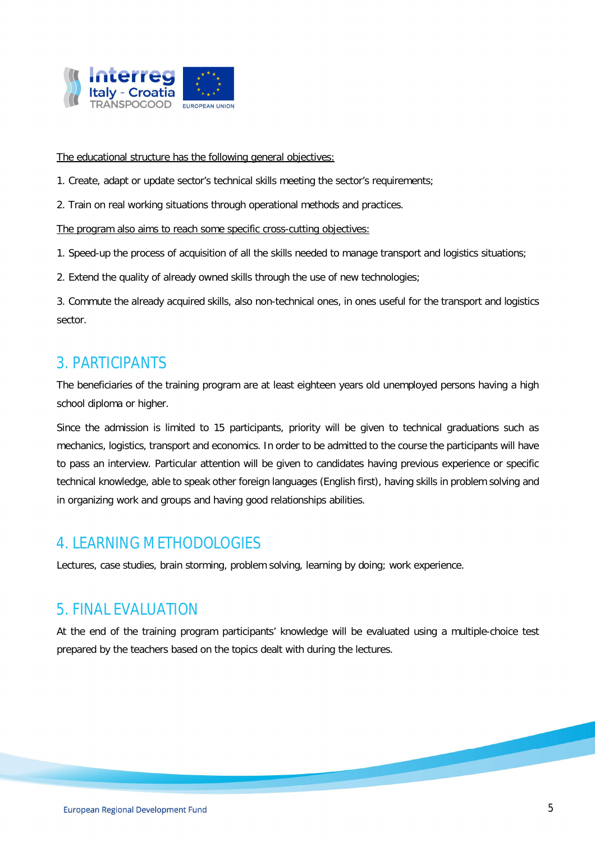

#### *The educational structure has the following general objectives:*

- 1. Create, adapt or update sector's technical skills meeting the sector's requirements;
- 2. Train on real working situations through operational methods and practices.

#### *The program also aims to reach some specific cross-cutting objectives:*

- 1. Speed-up the process of acquisition of all the skills needed to manage transport and logistics situations;
- 2. Extend the quality of already owned skills through the use of new technologies;

3. Commute the already acquired skills, also non-technical ones, in ones useful for the transport and logistics sector.

# 3. PARTICIPANTS

The beneficiaries of the training program are at least eighteen years old unemployed persons having a high school diploma or higher.

Since the admission is limited to 15 participants, priority will be given to technical graduations such as mechanics, logistics, transport and economics. In order to be admitted to the course the participants will have to pass an interview. Particular attention will be given to candidates having previous experience or specific technical knowledge, able to speak other foreign languages (English first), having skills in problem solving and in organizing work and groups and having good relationships abilities.

# 4. LEARNING METHODOLOGIES

Lectures, case studies, brain storming, problem solving, learning by doing; work experience.

# 5. FINAL EVALUATION

At the end of the training program participants' knowledge will be evaluated using a multiple-choice test prepared by the teachers based on the topics dealt with during the lectures.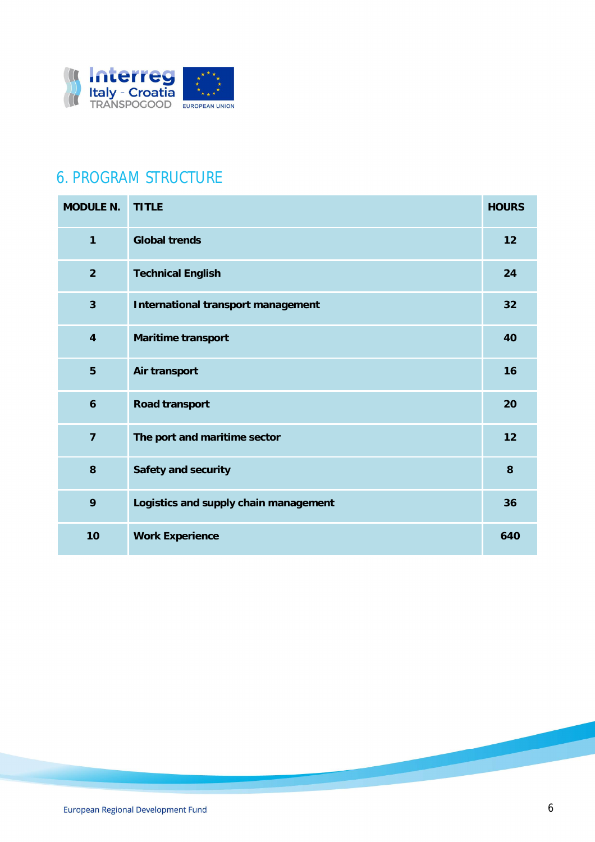

# 6. PROGRAM STRUCTURE

| <b>MODULE N.</b> | <b>TITLE</b>                              | <b>HOURS</b> |
|------------------|-------------------------------------------|--------------|
| $\mathbf{1}$     | <b>Global trends</b>                      | 12           |
| $\overline{2}$   | <b>Technical English</b>                  | 24           |
| $\overline{3}$   | <b>International transport management</b> | 32           |
| $\overline{4}$   | <b>Maritime transport</b>                 | 40           |
| 5                | Air transport                             | 16           |
| $\boldsymbol{6}$ | <b>Road transport</b>                     | 20           |
| $\overline{7}$   | The port and maritime sector              | 12           |
| 8                | <b>Safety and security</b>                | 8            |
| 9                | Logistics and supply chain management     | 36           |
| 10               | <b>Work Experience</b>                    | 640          |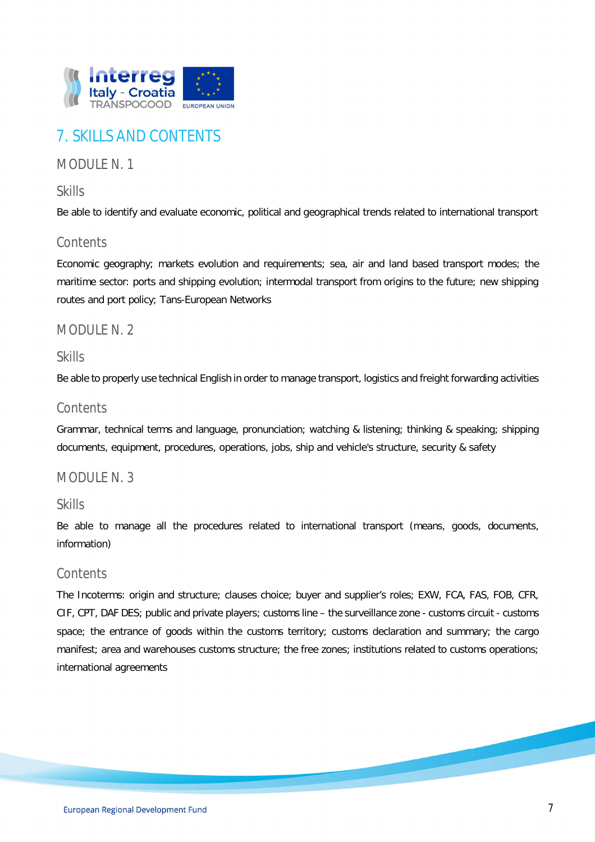

# 7. SKILLS AND CONTENTS

## *MODULE N. 1*

*Skills*

Be able to identify and evaluate economic, political and geographical trends related to international transport

## *Contents*

Economic geography; markets evolution and requirements; sea, air and land based transport modes; the maritime sector: ports and shipping evolution; intermodal transport from origins to the future; new shipping routes and port policy; Tans-European Networks

# *MODULE N. 2*

#### *Skills*

Be able to properly use technical English in order to manage transport, logistics and freight forwarding activities

#### *Contents*

Grammar, technical terms and language, pronunciation; watching & listening; thinking & speaking; shipping documents, equipment, procedures, operations, jobs, ship and vehicle's structure, security & safety

#### *MODULE N. 3*

#### *Skills*

Be able to manage all the procedures related to international transport (means, goods, documents, information)

#### *Contents*

The Incoterms: origin and structure; clauses choice; buyer and supplier's roles; EXW, FCA, FAS, FOB, CFR, CIF, CPT, DAF DES; public and private players; customs line – the surveillance zone - customs circuit - customs space; the entrance of goods within the customs territory; customs declaration and summary; the cargo manifest; area and warehouses customs structure; the free zones; institutions related to customs operations; international agreements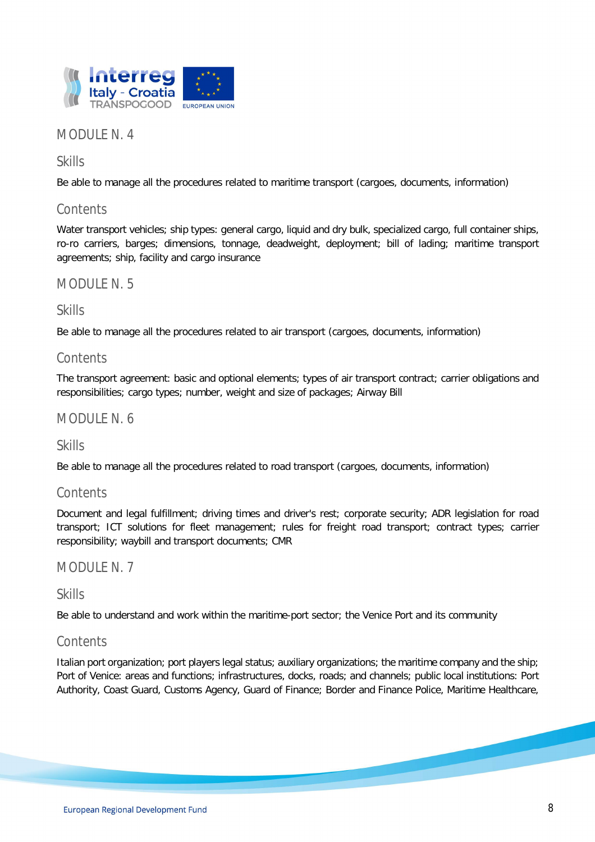

## *MODULE N. 4*

*Skills*

Be able to manage all the procedures related to maritime transport (cargoes, documents, information)

## *Contents*

Water transport vehicles; ship types: general cargo, liquid and dry bulk, specialized cargo, full container ships, ro-ro carriers, barges; dimensions, tonnage, deadweight, deployment; bill of lading; maritime transport agreements; ship, facility and cargo insurance

#### *MODULE N. 5*

#### *Skills*

Be able to manage all the procedures related to air transport (cargoes, documents, information)

## *Contents*

The transport agreement: basic and optional elements; types of air transport contract; carrier obligations and responsibilities; cargo types; number, weight and size of packages; Airway Bill

#### *MODULE N. 6*

## *Skills*

Be able to manage all the procedures related to road transport (cargoes, documents, information)

#### *Contents*

Document and legal fulfillment; driving times and driver's rest; corporate security; ADR legislation for road transport; ICT solutions for fleet management; rules for freight road transport; contract types; carrier responsibility; waybill and transport documents; CMR

## *MODULE N. 7*

#### *Skills*

Be able to understand and work within the maritime-port sector; the Venice Port and its community

## *Contents*

Italian port organization; port players legal status; auxiliary organizations; the maritime company and the ship; Port of Venice: areas and functions; infrastructures, docks, roads; and channels; public local institutions: Port Authority, Coast Guard, Customs Agency, Guard of Finance; Border and Finance Police, Maritime Healthcare,